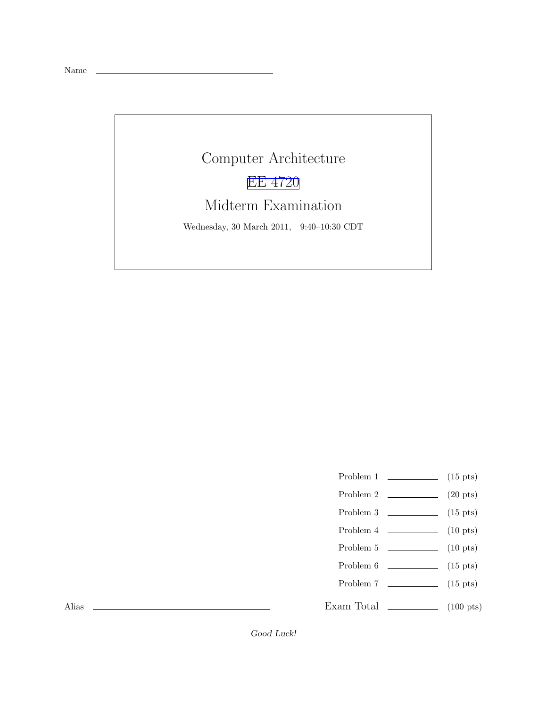Name

## Computer Architecture [EE 4720](http://www.ece.lsu.edu/ee4720/) Midterm Examination Wednesday, 30 March 2011, 9:40–10:30 CDT

- Problem 1 (15 pts)
- Problem 2  $\qquad \qquad (20 \text{ pts})$
- Problem 3  $\qquad \qquad$  (15 pts)
- Problem 4 (10 pts)
- Problem 5 (10 pts)
- Problem  $6 \t\t(15 \text{ pts})$
- Problem 7 (15 pts)
- Exam Total \_\_\_\_\_\_\_\_\_\_\_\_\_\_ (100 pts)

Alias

Good Luck!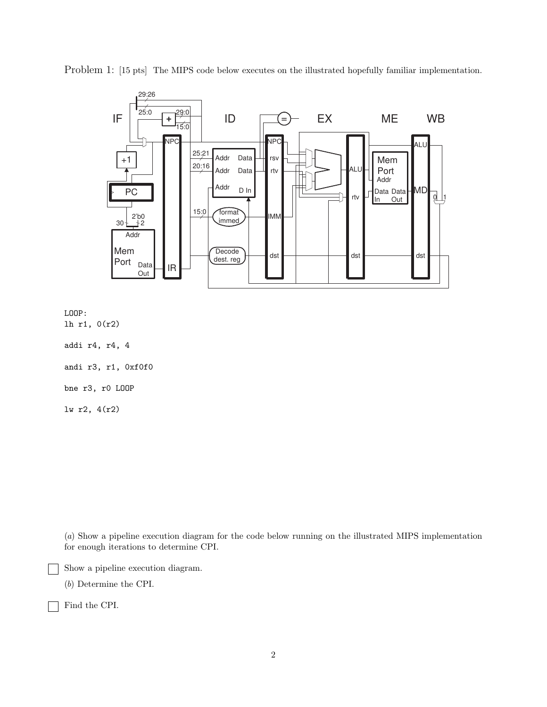

Problem 1: [15 pts] The MIPS code below executes on the illustrated hopefully familiar implementation.

LOOP: lh r1, 0(r2)

addi r4, r4, 4

andi r3, r1, 0xf0f0

bne r3, r0 LOOP

lw r2, 4(r2)

(a) Show a pipeline execution diagram for the code below running on the illustrated MIPS implementation for enough iterations to determine CPI.

Show a pipeline execution diagram.

(b) Determine the CPI.

Find the CPI.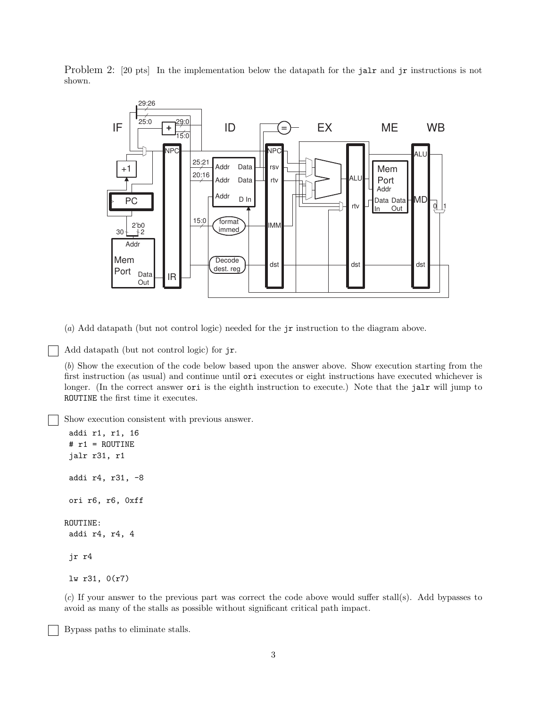Problem 2: [20 pts] In the implementation below the datapath for the jalr and jr instructions is not shown.



(a) Add datapath (but not control logic) needed for the jr instruction to the diagram above.

Add datapath (but not control logic) for jr.

(b) Show the execution of the code below based upon the answer above. Show execution starting from the first instruction (as usual) and continue until ori executes or eight instructions have executed whichever is longer. (In the correct answer ori is the eighth instruction to execute.) Note that the jalr will jump to ROUTINE the first time it executes.

Show execution consistent with previous answer.

```
addi r1, r1, 16
# r1 = ROUTINE
 jalr r31, r1
addi r4, r31, -8
ori r6, r6, 0xff
ROUTINE:
 addi r4, r4, 4
jr r4
lw r31, 0(r7)
```
(c) If your answer to the previous part was correct the code above would suffer stall(s). Add bypasses to avoid as many of the stalls as possible without significant critical path impact.

Bypass paths to eliminate stalls.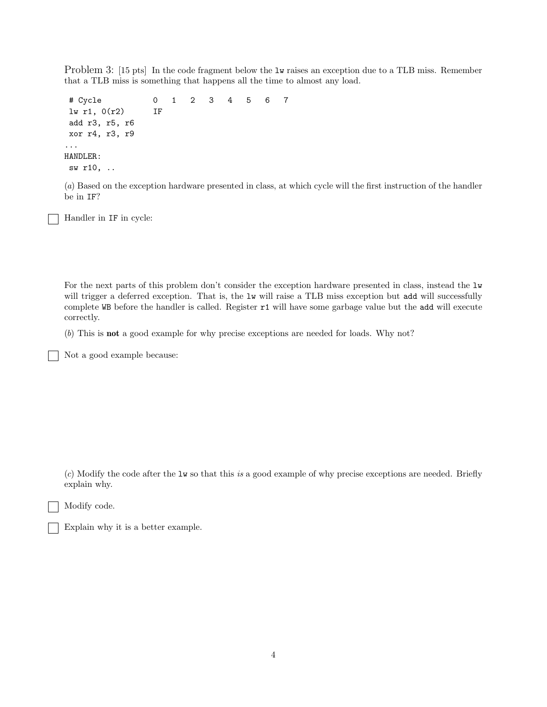Problem 3: [15 pts] In the code fragment below the  $1w$  raises an exception due to a TLB miss. Remember that a TLB miss is something that happens all the time to almost any load.

# Cycle 0 1 2 3 4 5 6 7 lw r1, 0(r2) IF add r3, r5, r6 xor r4, r3, r9 ... HANDLER: sw r10, ..

(a) Based on the exception hardware presented in class, at which cycle will the first instruction of the handler be in IF?

Handler in IF in cycle:

For the next parts of this problem don't consider the exception hardware presented in class, instead the  $1w$ will trigger a deferred exception. That is, the lw will raise a TLB miss exception but add will successfully complete WB before the handler is called. Register r1 will have some garbage value but the add will execute correctly.

(b) This is not a good example for why precise exceptions are needed for loads. Why not?

Not a good example because:

(c) Modify the code after the lw so that this is a good example of why precise exceptions are needed. Briefly explain why.

Modify code.

| Explain why it is a better example. |  |
|-------------------------------------|--|
|-------------------------------------|--|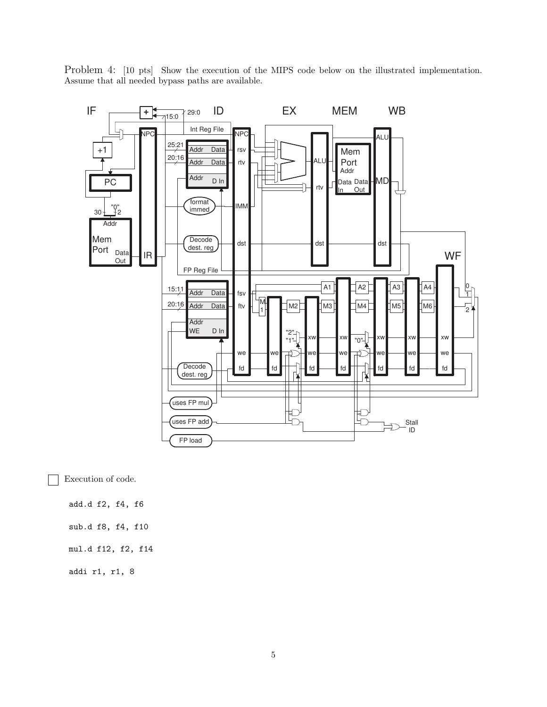Problem 4: [10 pts] Show the execution of the MIPS code below on the illustrated implementation. Assume that all needed bypass paths are available.



Execution of code.

add.d f2, f4, f6

sub.d f8, f4, f10

mul.d f12, f2, f14

addi r1, r1, 8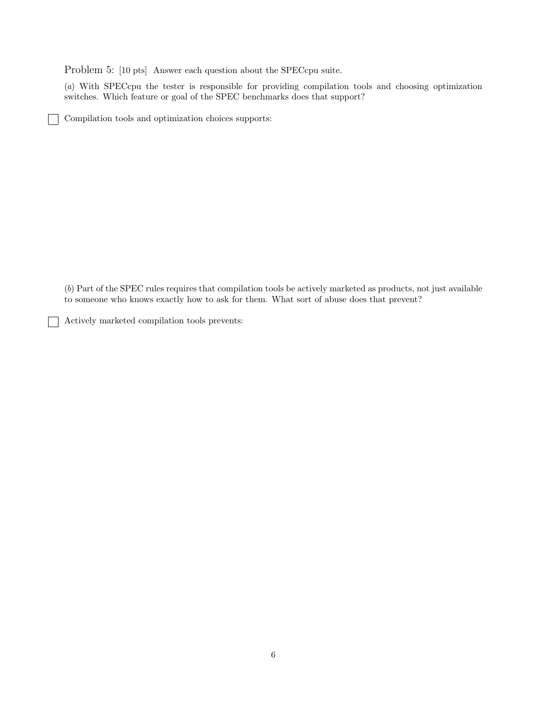Problem 5: [10 pts] Answer each question about the SPECcpu suite.

(a) With SPECcpu the tester is responsible for providing compilation tools and choosing optimization switches. Which feature or goal of the SPEC benchmarks does that support?

Compilation tools and optimization choices supports:

(b) Part of the SPEC rules requires that compilation tools be actively marketed as products, not just available to someone who knows exactly how to ask for them. What sort of abuse does that prevent?

Actively marketed compilation tools prevents: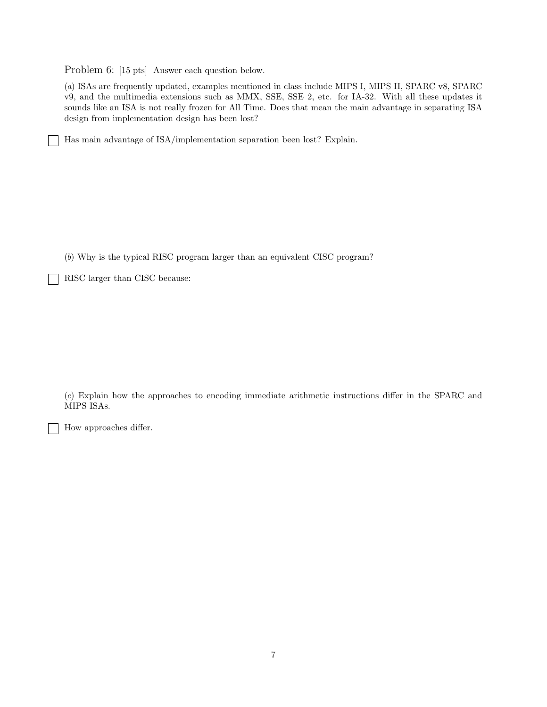Problem 6: [15 pts] Answer each question below.

(a) ISAs are frequently updated, examples mentioned in class include MIPS I, MIPS II, SPARC v8, SPARC v9, and the multimedia extensions such as MMX, SSE, SSE 2, etc. for IA-32. With all these updates it sounds like an ISA is not really frozen for All Time. Does that mean the main advantage in separating ISA design from implementation design has been lost?

Has main advantage of ISA/implementation separation been lost? Explain.

(b) Why is the typical RISC program larger than an equivalent CISC program?

RISC larger than CISC because:

(c) Explain how the approaches to encoding immediate arithmetic instructions differ in the SPARC and MIPS ISAs.

How approaches differ.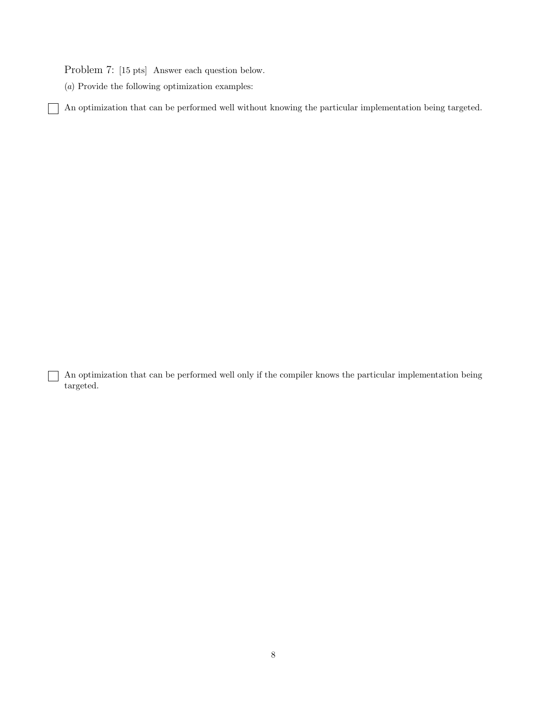Problem 7: [15 pts] Answer each question below.

(a) Provide the following optimization examples:

 $\mathsf{I}$  $\overline{\phantom{a}}$  An optimization that can be performed well without knowing the particular implementation being targeted.

An optimization that can be performed well only if the compiler knows the particular implementation being targeted.